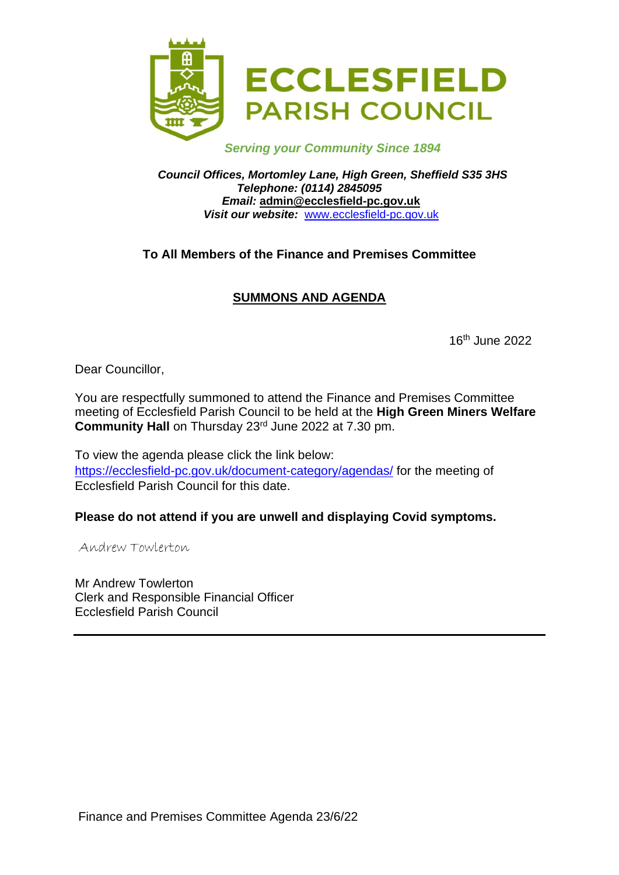

*Serving your Community Since 1894*

#### *Council Offices, Mortomley Lane, High Green, Sheffield S35 3HS Telephone: (0114) 2845095 Email:* **admin@ecclesfield-pc.gov.uk** *Visit our website:* [www.ecclesfield-pc.gov.uk](http://www.ecclesfield-pc.gov.uk/)

# **To All Members of the Finance and Premises Committee**

# **SUMMONS AND AGENDA**

16th June 2022

Dear Councillor,

You are respectfully summoned to attend the Finance and Premises Committee meeting of Ecclesfield Parish Council to be held at the **High Green Miners Welfare Community Hall** on Thursday 23rd June 2022 at 7.30 pm.

To view the agenda please click the link below: <https://ecclesfield-pc.gov.uk/document-category/agendas/> for the meeting of Ecclesfield Parish Council for this date.

### **Please do not attend if you are unwell and displaying Covid symptoms.**

Andrew Towlerton

Mr Andrew Towlerton Clerk and Responsible Financial Officer Ecclesfield Parish Council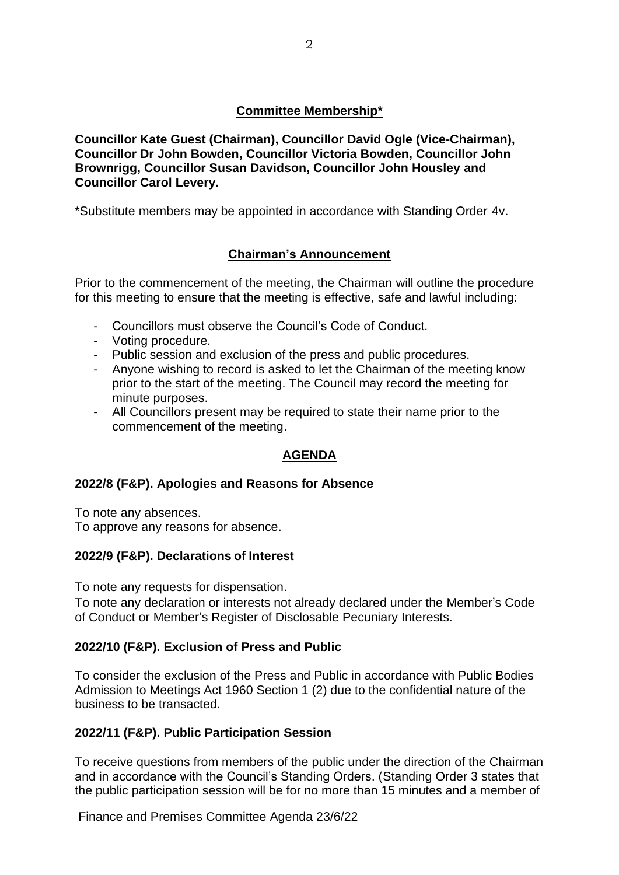### **Committee Membership\***

**Councillor Kate Guest (Chairman), Councillor David Ogle (Vice-Chairman), Councillor Dr John Bowden, Councillor Victoria Bowden, Councillor John Brownrigg, Councillor Susan Davidson, Councillor John Housley and Councillor Carol Levery.**

\*Substitute members may be appointed in accordance with Standing Order 4v.

## **Chairman's Announcement**

Prior to the commencement of the meeting, the Chairman will outline the procedure for this meeting to ensure that the meeting is effective, safe and lawful including:

- Councillors must observe the Council's Code of Conduct.
- Voting procedure.
- Public session and exclusion of the press and public procedures.
- Anyone wishing to record is asked to let the Chairman of the meeting know prior to the start of the meeting. The Council may record the meeting for minute purposes.
- All Councillors present may be required to state their name prior to the commencement of the meeting.

### **AGENDA**

### **2022/8 (F&P). Apologies and Reasons for Absence**

To note any absences.

To approve any reasons for absence.

### **2022/9 (F&P). Declarations of Interest**

To note any requests for dispensation.

To note any declaration or interests not already declared under the Member's Code of Conduct or Member's Register of Disclosable Pecuniary Interests.

### **2022/10 (F&P). Exclusion of Press and Public**

To consider the exclusion of the Press and Public in accordance with Public Bodies Admission to Meetings Act 1960 Section 1 (2) due to the confidential nature of the business to be transacted.

### **2022/11 (F&P). Public Participation Session**

To receive questions from members of the public under the direction of the Chairman and in accordance with the Council's Standing Orders. (Standing Order 3 states that the public participation session will be for no more than 15 minutes and a member of

Finance and Premises Committee Agenda 23/6/22